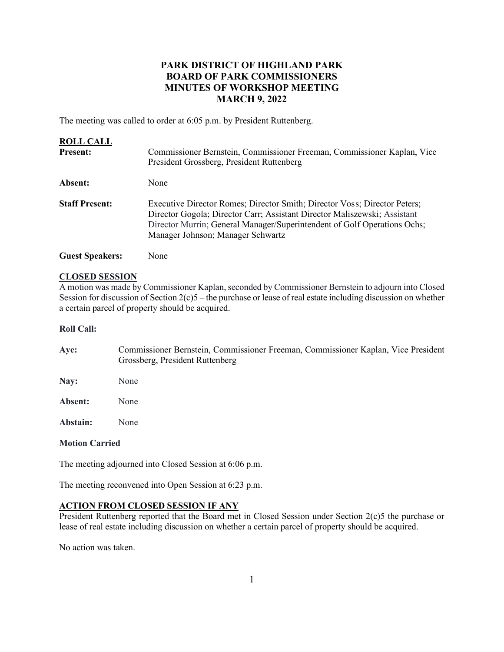# **PARK DISTRICT OF HIGHLAND PARK BOARD OF PARK COMMISSIONERS MINUTES OF WORKSHOP MEETING MARCH 9, 2022**

The meeting was called to order at 6:05 p.m. by President Ruttenberg.

| <b>ROLL CALL</b><br><b>Present:</b> | Commissioner Bernstein, Commissioner Freeman, Commissioner Kaplan, Vice<br>President Grossberg, President Ruttenberg                                                                                                                                                    |
|-------------------------------------|-------------------------------------------------------------------------------------------------------------------------------------------------------------------------------------------------------------------------------------------------------------------------|
| Absent:                             | None                                                                                                                                                                                                                                                                    |
| <b>Staff Present:</b>               | Executive Director Romes; Director Smith; Director Voss; Director Peters;<br>Director Gogola; Director Carr; Assistant Director Maliszewski; Assistant<br>Director Murrin; General Manager/Superintendent of Golf Operations Ochs;<br>Manager Johnson; Manager Schwartz |
| <b>Guest Speakers:</b>              | None                                                                                                                                                                                                                                                                    |

#### **CLOSED SESSION**

A motion was made by Commissioner Kaplan, seconded by Commissioner Bernstein to adjourn into Closed Session for discussion of Section 2(c)5 – the purchase or lease of real estate including discussion on whether a certain parcel of property should be acquired.

#### **Roll Call:**

| Ave: | Commissioner Bernstein, Commissioner Freeman, Commissioner Kaplan, Vice President |
|------|-----------------------------------------------------------------------------------|
|      | Grossberg, President Ruttenberg                                                   |
| Nav: | None                                                                              |

**Absent:** None

**Abstain:** None

#### **Motion Carried**

The meeting adjourned into Closed Session at 6:06 p.m.

The meeting reconvened into Open Session at 6:23 p.m.

# **ACTION FROM CLOSED SESSION IF ANY**

President Ruttenberg reported that the Board met in Closed Session under Section 2(c)5 the purchase or lease of real estate including discussion on whether a certain parcel of property should be acquired.

No action was taken.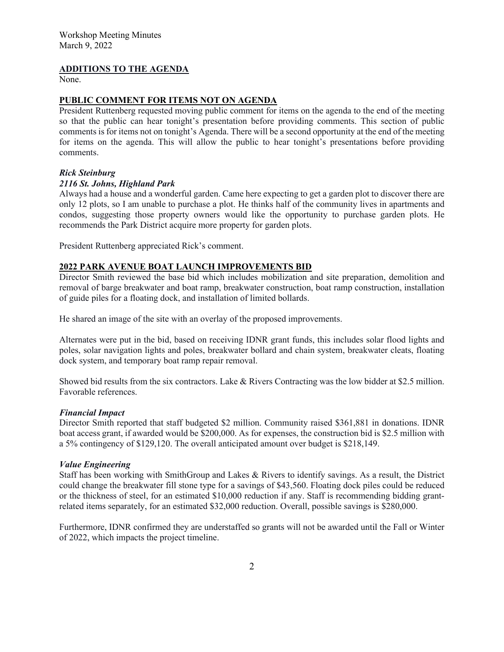### **ADDITIONS TO THE AGENDA**

None.

#### **PUBLIC COMMENT FOR ITEMS NOT ON AGENDA**

President Ruttenberg requested moving public comment for items on the agenda to the end of the meeting so that the public can hear tonight's presentation before providing comments. This section of public comments is for items not on tonight's Agenda. There will be a second opportunity at the end of the meeting for items on the agenda. This will allow the public to hear tonight's presentations before providing comments.

#### *Rick Steinburg*

#### *2116 St. Johns, Highland Park*

Always had a house and a wonderful garden. Came here expecting to get a garden plot to discover there are only 12 plots, so I am unable to purchase a plot. He thinks half of the community lives in apartments and condos, suggesting those property owners would like the opportunity to purchase garden plots. He recommends the Park District acquire more property for garden plots.

President Ruttenberg appreciated Rick's comment.

### **2022 PARK AVENUE BOAT LAUNCH IMPROVEMENTS BID**

Director Smith reviewed the base bid which includes mobilization and site preparation, demolition and removal of barge breakwater and boat ramp, breakwater construction, boat ramp construction, installation of guide piles for a floating dock, and installation of limited bollards.

He shared an image of the site with an overlay of the proposed improvements.

Alternates were put in the bid, based on receiving IDNR grant funds, this includes solar flood lights and poles, solar navigation lights and poles, breakwater bollard and chain system, breakwater cleats, floating dock system, and temporary boat ramp repair removal.

Showed bid results from the six contractors. Lake & Rivers Contracting was the low bidder at \$2.5 million. Favorable references.

### *Financial Impact*

Director Smith reported that staff budgeted \$2 million. Community raised \$361,881 in donations. IDNR boat access grant, if awarded would be \$200,000. As for expenses, the construction bid is \$2.5 million with a 5% contingency of \$129,120. The overall anticipated amount over budget is \$218,149.

#### *Value Engineering*

Staff has been working with SmithGroup and Lakes & Rivers to identify savings. As a result, the District could change the breakwater fill stone type for a savings of \$43,560. Floating dock piles could be reduced or the thickness of steel, for an estimated \$10,000 reduction if any. Staff is recommending bidding grantrelated items separately, for an estimated \$32,000 reduction. Overall, possible savings is \$280,000.

Furthermore, IDNR confirmed they are understaffed so grants will not be awarded until the Fall or Winter of 2022, which impacts the project timeline.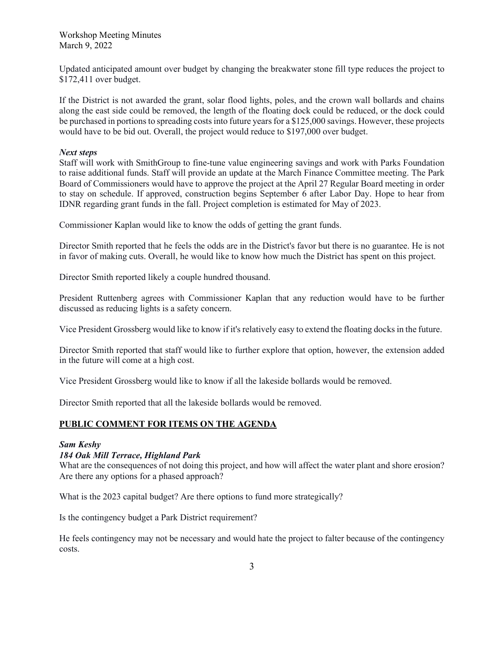Workshop Meeting Minutes March 9, 2022

Updated anticipated amount over budget by changing the breakwater stone fill type reduces the project to \$172,411 over budget.

If the District is not awarded the grant, solar flood lights, poles, and the crown wall bollards and chains along the east side could be removed, the length of the floating dock could be reduced, or the dock could be purchased in portions to spreading costs into future years for a \$125,000 savings. However, these projects would have to be bid out. Overall, the project would reduce to \$197,000 over budget.

#### *Next steps*

Staff will work with SmithGroup to fine-tune value engineering savings and work with Parks Foundation to raise additional funds. Staff will provide an update at the March Finance Committee meeting. The Park Board of Commissioners would have to approve the project at the April 27 Regular Board meeting in order to stay on schedule. If approved, construction begins September 6 after Labor Day. Hope to hear from IDNR regarding grant funds in the fall. Project completion is estimated for May of 2023.

Commissioner Kaplan would like to know the odds of getting the grant funds.

Director Smith reported that he feels the odds are in the District's favor but there is no guarantee. He is not in favor of making cuts. Overall, he would like to know how much the District has spent on this project.

Director Smith reported likely a couple hundred thousand.

President Ruttenberg agrees with Commissioner Kaplan that any reduction would have to be further discussed as reducing lights is a safety concern.

Vice President Grossberg would like to know if it's relatively easy to extend the floating docks in the future.

Director Smith reported that staff would like to further explore that option, however, the extension added in the future will come at a high cost.

Vice President Grossberg would like to know if all the lakeside bollards would be removed.

Director Smith reported that all the lakeside bollards would be removed.

### **PUBLIC COMMENT FOR ITEMS ON THE AGENDA**

#### *Sam Keshy*

### *184 Oak Mill Terrace, Highland Park*

What are the consequences of not doing this project, and how will affect the water plant and shore erosion? Are there any options for a phased approach?

What is the 2023 capital budget? Are there options to fund more strategically?

Is the contingency budget a Park District requirement?

He feels contingency may not be necessary and would hate the project to falter because of the contingency costs.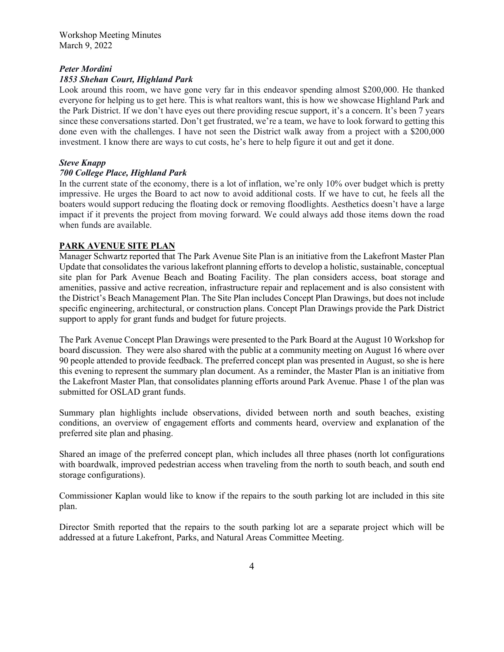### *Peter Mordini*

### *1853 Shehan Court, Highland Park*

Look around this room, we have gone very far in this endeavor spending almost \$200,000. He thanked everyone for helping us to get here. This is what realtors want, this is how we showcase Highland Park and the Park District. If we don't have eyes out there providing rescue support, it's a concern. It's been 7 years since these conversations started. Don't get frustrated, we're a team, we have to look forward to getting this done even with the challenges. I have not seen the District walk away from a project with a \$200,000 investment. I know there are ways to cut costs, he's here to help figure it out and get it done.

# *Steve Knapp*

### *700 College Place, Highland Park*

In the current state of the economy, there is a lot of inflation, we're only 10% over budget which is pretty impressive. He urges the Board to act now to avoid additional costs. If we have to cut, he feels all the boaters would support reducing the floating dock or removing floodlights. Aesthetics doesn't have a large impact if it prevents the project from moving forward. We could always add those items down the road when funds are available.

# **PARK AVENUE SITE PLAN**

Manager Schwartz reported that The Park Avenue Site Plan is an initiative from the Lakefront Master Plan Update that consolidates the various lakefront planning efforts to develop a holistic, sustainable, conceptual site plan for Park Avenue Beach and Boating Facility. The plan considers access, boat storage and amenities, passive and active recreation, infrastructure repair and replacement and is also consistent with the District's Beach Management Plan. The Site Plan includes Concept Plan Drawings, but does not include specific engineering, architectural, or construction plans. Concept Plan Drawings provide the Park District support to apply for grant funds and budget for future projects.

The Park Avenue Concept Plan Drawings were presented to the Park Board at the August 10 Workshop for board discussion. They were also shared with the public at a community meeting on August 16 where over 90 people attended to provide feedback. The preferred concept plan was presented in August, so she is here this evening to represent the summary plan document. As a reminder, the Master Plan is an initiative from the Lakefront Master Plan, that consolidates planning efforts around Park Avenue. Phase 1 of the plan was submitted for OSLAD grant funds.

Summary plan highlights include observations, divided between north and south beaches, existing conditions, an overview of engagement efforts and comments heard, overview and explanation of the preferred site plan and phasing.

Shared an image of the preferred concept plan, which includes all three phases (north lot configurations with boardwalk, improved pedestrian access when traveling from the north to south beach, and south end storage configurations).

Commissioner Kaplan would like to know if the repairs to the south parking lot are included in this site plan.

Director Smith reported that the repairs to the south parking lot are a separate project which will be addressed at a future Lakefront, Parks, and Natural Areas Committee Meeting.